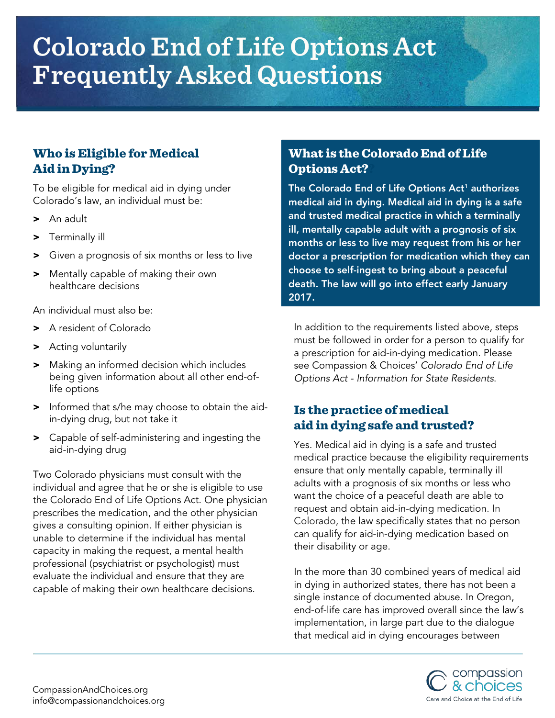# **Colorado End of Life Options Act Frequently Asked Questions**

## Who is Eligible for Medical Aid in Dying?

To be eligible for medical aid in dying under Colorado's law, an individual must be:

- > An adult
- > Terminally ill
- > Given a prognosis of six months or less to live
- > Mentally capable of making their own healthcare decisions

An individual must also be:

- > A resident of Colorado
- > Acting voluntarily
- > Making an informed decision which includes being given information about all other end-oflife options
- > Informed that s/he may choose to obtain the aidin-dying drug, but not take it
- > Capable of self-administering and ingesting the aid-in-dying drug

Two Colorado physicians must consult with the individual and agree that he or she is eligible to use the Colorado End of Life Options Act. One physician prescribes the medication, and the other physician gives a consulting opinion. If either physician is unable to determine if the individual has mental capacity in making the request, a mental health professional (psychiatrist or psychologist) must evaluate the individual and ensure that they are capable of making their own healthcare decisions.

#### What is the Colorado End of Life Options Act??

The Colorado End of Life Options  $Act<sup>1</sup>$  authorizes medical aid in dying. Medical aid in dying is a safe and trusted medical practice in which a terminally ill, mentally capable adult with a prognosis of six months or less to live may request from his or her doctor a prescription for medication which they can choose to self-ingest to bring about a peaceful death. The law will go into effect early January 2017.

In addition to the requirements listed above, steps must be followed in order for a person to qualify for a prescription for aid-in-dying medication. Please see Compassion & Choices' *Colorado End of Life Options Act - Information for State Residents*.

### Is the practice of medical aid in dying safe and trusted?

Yes. Medical aid in dying is a safe and trusted medical practice because the eligibility requirements ensure that only mentally capable, terminally ill adults with a prognosis of six months or less who want the choice of a peaceful death are able to request and obtain aid-in-dying medication. In Colorado, the law specifically states that no person can qualify for aid-in-dying medication based on their disability or age.

In the more than 30 combined years of medical aid in dying in authorized states, there has not been a single instance of documented abuse. In Oregon, end-of-life care has improved overall since the law's implementation, in large part due to the dialogue that medical aid in dying encourages between

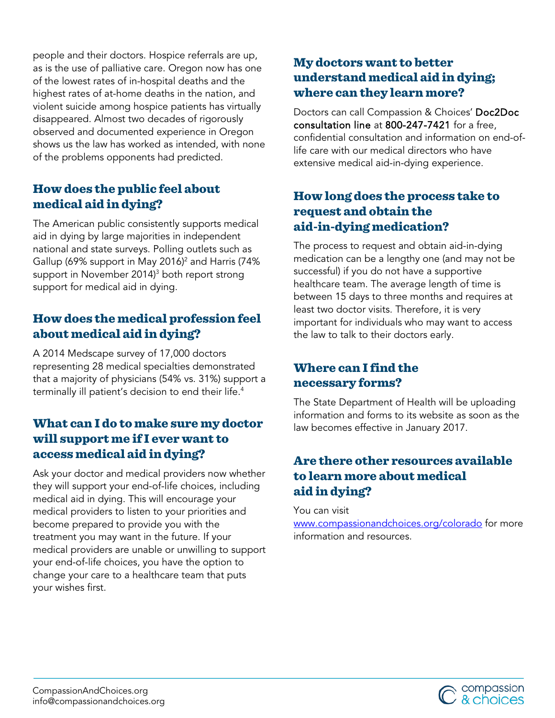people and their doctors. Hospice referrals are up, as is the use of palliative care. Oregon now has one of the lowest rates of in-hospital deaths and the highest rates of at-home deaths in the nation, and violent suicide among hospice patients has virtually disappeared. Almost two decades of rigorously observed and documented experience in Oregon shows us the law has worked as intended, with none of the problems opponents had predicted.

#### How does the public feel about medical aid in dying?

The American public consistently supports medical aid in dying by large majorities in independent national and state surveys. Polling outlets such as Gallup (69% support in May 2016)<sup>2</sup> and Harris (74% support in November 2014)<sup>3</sup> both report strong support for medical aid in dying.

#### How does the medical profession feel about medical aid in dying?

A 2014 Medscape survey of 17,000 doctors representing 28 medical specialties demonstrated that a majority of physicians (54% vs. 31%) support a terminally ill patient's decision to end their life.<sup>4</sup>

#### What can I do tomake sure my doctor will support me if I ever want to access medical aid in dying?

Ask your doctor and medical providers now whether they will support your end-of-life choices, including medical aid in dying. This will encourage your medical providers to listen to your priorities and become prepared to provide you with the treatment you may want in the future. If your medical providers are unable or unwilling to support your end-of-life choices, you have the option to change your care to a healthcare team that puts your wishes first.

#### My doctors want to better understand medical aid in dying; where can they learn more?

Doctors can call Compassion & Choices' Doc2Doc consultation line at 800-247-7421 for a free, confidential consultation and information on end-oflife care with our medical directors who have extensive medical aid-in-dying experience.

#### How long does the process take to request and obtain the aid-in-dying medication?

The process to request and obtain aid-in-dying medication can be a lengthy one (and may not be successful) if you do not have a supportive healthcare team. The average length of time is between 15 days to three months and requires at least two doctor visits. Therefore, it is very important for individuals who may want to access the law to talk to their doctors early.

# Where can I find the necessary forms?

The State Department of Health will be uploading information and forms to its website as soon as the law becomes effective in January 2017.

#### Are there other resources available to learn more about medical aid in dying?

You can visit

[www.compassionandchoices.org/colorado](http://www.compassionandchoices.org/colorado) for more information and resources.